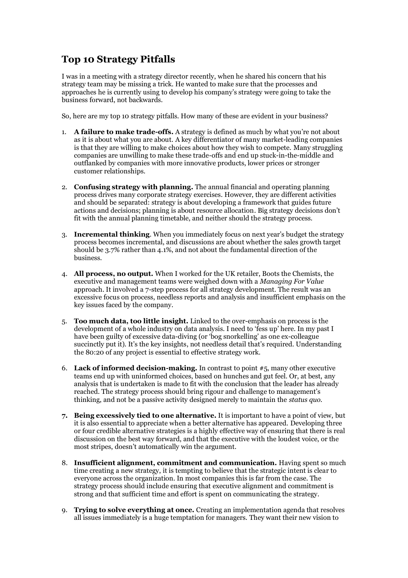## **Top 10 Strategy Pitfalls**

I was in a meeting with a strategy director recently, when he shared his concern that his strategy team may be missing a trick. He wanted to make sure that the processes and approaches he is currently using to develop his company's strategy were going to take the business forward, not backwards.

So, here are my top 10 strategy pitfalls. How many of these are evident in your business?

- 1. **A failure to make trade-offs.** A strategy is defined as much by what you're not about as it is about what you are about. A key differentiator of many market-leading companies is that they are willing to make choices about how they wish to compete. Many struggling companies are unwilling to make these trade-offs and end up stuck-in-the-middle and outflanked by companies with more innovative products, lower prices or stronger customer relationships.
- 2. **Confusing strategy with planning.** The annual financial and operating planning process drives many corporate strategy exercises. However, they are different activities and should be separated: strategy is about developing a framework that guides future actions and decisions; planning is about resource allocation. Big strategy decisions don't fit with the annual planning timetable, and neither should the strategy process.
- 3. **Incremental thinking**. When you immediately focus on next year's budget the strategy process becomes incremental, and discussions are about whether the sales growth target should be 3.7% rather than 4.1%, and not about the fundamental direction of the business.
- 4. **All process, no output.** When I worked for the UK retailer, Boots the Chemists, the executive and management teams were weighed down with a *Managing For Value* approach. It involved a 7-step process for all strategy development. The result was an excessive focus on process, needless reports and analysis and insufficient emphasis on the key issues faced by the company.
- 5. **Too much data, too little insight.** Linked to the over-emphasis on process is the development of a whole industry on data analysis. I need to 'fess up' here. In my past I have been guilty of excessive data-diving (or 'bog snorkelling' as one ex-colleague succinctly put it). It's the key insights, not needless detail that's required. Understanding the 80:20 of any project is essential to effective strategy work.
- 6. **Lack of informed decision-making.** In contrast to point #5, many other executive teams end up with uninformed choices, based on hunches and gut feel. Or, at best, any analysis that is undertaken is made to fit with the conclusion that the leader has already reached. The strategy process should bring rigour and challenge to management's thinking, and not be a passive activity designed merely to maintain the *status quo*.
- **7. Being excessively tied to one alternative.** It is important to have a point of view, but it is also essential to appreciate when a better alternative has appeared. Developing three or four credible alternative strategies is a highly effective way of ensuring that there is real discussion on the best way forward, and that the executive with the loudest voice, or the most stripes, doesn't automatically win the argument.
- 8. **Insufficient alignment, commitment and communication.** Having spent so much time creating a new strategy, it is tempting to believe that the strategic intent is clear to everyone across the organization. In most companies this is far from the case. The strategy process should include ensuring that executive alignment and commitment is strong and that sufficient time and effort is spent on communicating the strategy.
- 9. **Trying to solve everything at once.** Creating an implementation agenda that resolves all issues immediately is a huge temptation for managers. They want their new vision to